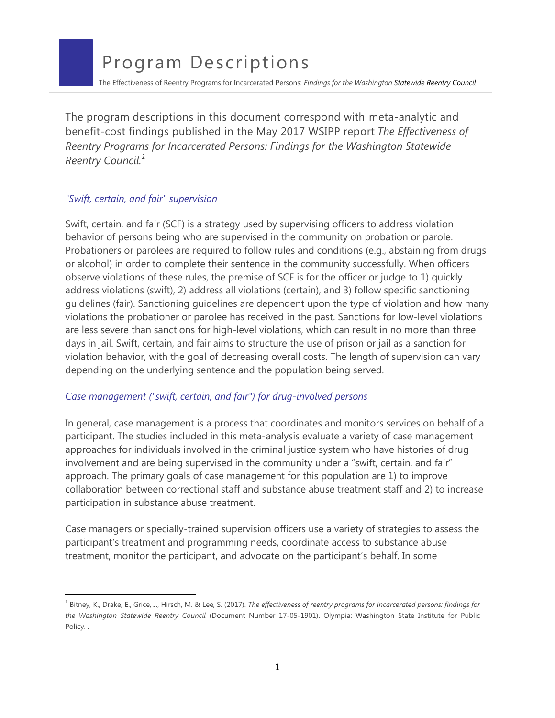The Effectiveness of Reentry Programs for Incarcerated Persons: *Findings for the Washington Statewide Reentry Council*

The program descriptions in this document correspond with meta-analytic and benefit-cost findings published in the May 2017 WSIPP report *[The Effectiveness of](http://www.wsipp.wa.gov/ReportFile/1667)  [Reentry Programs for Incarcerated Persons: Findings for the Washington Statewide](http://www.wsipp.wa.gov/ReportFile/1667)  [Reentry Council.](http://www.wsipp.wa.gov/ReportFile/1667)<sup>1</sup>*

### *"Swift, certain, and fair" supervision*

Swift, certain, and fair (SCF) is a strategy used by supervising officers to address violation behavior of persons being who are supervised in the community on probation or parole. Probationers or parolees are required to follow rules and conditions (e.g., abstaining from drugs or alcohol) in order to complete their sentence in the community successfully. When officers observe violations of these rules, the premise of SCF is for the officer or judge to 1) quickly address violations (swift), 2) address all violations (certain), and 3) follow specific sanctioning guidelines (fair). Sanctioning guidelines are dependent upon the type of violation and how many violations the probationer or parolee has received in the past. Sanctions for low-level violations are less severe than sanctions for high-level violations, which can result in no more than three days in jail. Swift, certain, and fair aims to structure the use of prison or jail as a sanction for violation behavior, with the goal of decreasing overall costs. The length of supervision can vary depending on the underlying sentence and the population being served.

# *Case management ("swift, certain, and fair") for drug-involved persons*

In general, case management is a process that coordinates and monitors services on behalf of a participant. The studies included in this meta-analysis evaluate a variety of case management approaches for individuals involved in the criminal justice system who have histories of drug involvement and are being supervised in the community under a "swift, certain, and fair" approach. The primary goals of case management for this population are 1) to improve collaboration between correctional staff and substance abuse treatment staff and 2) to increase participation in substance abuse treatment.

Case managers or specially-trained supervision officers use a variety of strategies to assess the participant's treatment and programming needs, coordinate access to substance abuse treatment, monitor the participant, and advocate on the participant's behalf. In some

<sup>&</sup>lt;sup>1</sup> Bitney, K., Drake, E., Grice, J., Hirsch, M. & Lee, S. (2017). The effectiveness of reentry programs for incarcerated persons: findings for *the Washington Statewide Reentry Council* [\(Document Number 17-05-1901\). Olympia: Washington State Institute for Public](http://www.wsipp.wa.gov/ReportFile/1667)  Policy. .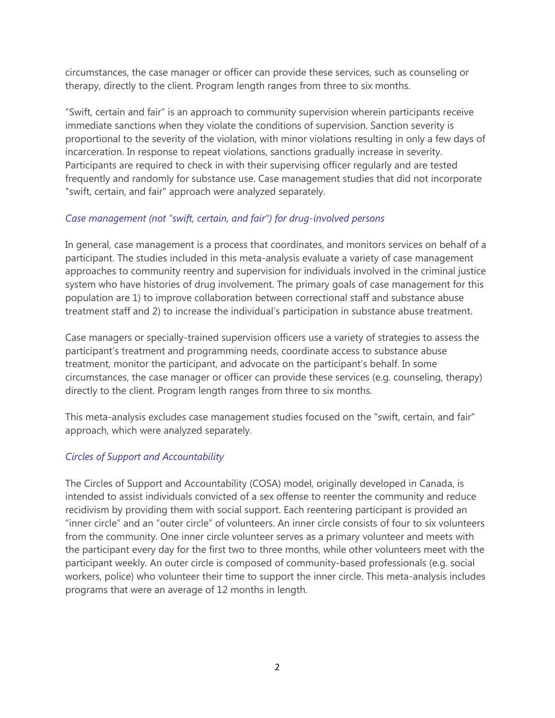circumstances, the case manager or officer can provide these services, such as counseling or therapy, directly to the client. Program length ranges from three to six months.

"Swift, certain and fair" is an approach to community supervision wherein participants receive immediate sanctions when they violate the conditions of supervision. Sanction severity is proportional to the severity of the violation, with minor violations resulting in only a few days of incarceration. In response to repeat violations, sanctions gradually increase in severity. Participants are required to check in with their supervising officer regularly and are tested frequently and randomly for substance use. Case management studies that did not incorporate "swift, certain, and fair" approach were analyzed separately.

# *Case management (not "swift, certain, and fair") for drug-involved persons*

In general, case management is a process that coordinates, and monitors services on behalf of a participant. The studies included in this meta-analysis evaluate a variety of case management approaches to community reentry and supervision for individuals involved in the criminal justice system who have histories of drug involvement. The primary goals of case management for this population are 1) to improve collaboration between correctional staff and substance abuse treatment staff and 2) to increase the individual's participation in substance abuse treatment.

Case managers or specially-trained supervision officers use a variety of strategies to assess the participant's treatment and programming needs, coordinate access to substance abuse treatment, monitor the participant, and advocate on the participant's behalf. In some circumstances, the case manager or officer can provide these services (e.g. counseling, therapy) directly to the client. Program length ranges from three to six months.

This meta-analysis excludes case management studies focused on the "swift, certain, and fair" approach, which were analyzed separately.

# *Circles of Support and Accountability*

The Circles of Support and Accountability (COSA) model, originally developed in Canada, is intended to assist individuals convicted of a sex offense to reenter the community and reduce recidivism by providing them with social support. Each reentering participant is provided an "inner circle" and an "outer circle" of volunteers. An inner circle consists of four to six volunteers from the community. One inner circle volunteer serves as a primary volunteer and meets with the participant every day for the first two to three months, while other volunteers meet with the participant weekly. An outer circle is composed of community-based professionals (e.g. social workers, police) who volunteer their time to support the inner circle. This meta-analysis includes programs that were an average of 12 months in length.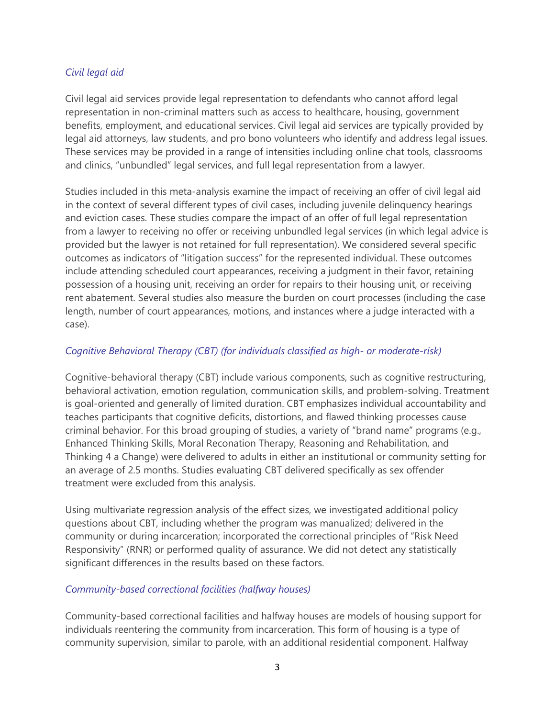# *Civil legal aid*

Civil legal aid services provide legal representation to defendants who cannot afford legal representation in non-criminal matters such as access to healthcare, housing, government benefits, employment, and educational services. Civil legal aid services are typically provided by legal aid attorneys, law students, and pro bono volunteers who identify and address legal issues. These services may be provided in a range of intensities including online chat tools, classrooms and clinics, "unbundled" legal services, and full legal representation from a lawyer.

Studies included in this meta-analysis examine the impact of receiving an offer of civil legal aid in the context of several different types of civil cases, including juvenile delinquency hearings and eviction cases. These studies compare the impact of an offer of full legal representation from a lawyer to receiving no offer or receiving unbundled legal services (in which legal advice is provided but the lawyer is not retained for full representation). We considered several specific outcomes as indicators of "litigation success" for the represented individual. These outcomes include attending scheduled court appearances, receiving a judgment in their favor, retaining possession of a housing unit, receiving an order for repairs to their housing unit, or receiving rent abatement. Several studies also measure the burden on court processes (including the case length, number of court appearances, motions, and instances where a judge interacted with a case).

### *Cognitive Behavioral Therapy (CBT) (for individuals classified as high- or moderate-risk)*

Cognitive-behavioral therapy (CBT) include various components, such as cognitive restructuring, behavioral activation, emotion regulation, communication skills, and problem-solving. Treatment is goal-oriented and generally of limited duration. CBT emphasizes individual accountability and teaches participants that cognitive deficits, distortions, and flawed thinking processes cause criminal behavior. For this broad grouping of studies, a variety of "brand name" programs (e.g., Enhanced Thinking Skills, Moral Reconation Therapy, Reasoning and Rehabilitation, and Thinking 4 a Change) were delivered to adults in either an institutional or community setting for an average of 2.5 months. Studies evaluating CBT delivered specifically as sex offender treatment were excluded from this analysis.

Using multivariate regression analysis of the effect sizes, we investigated additional policy questions about CBT, including whether the program was manualized; delivered in the community or during incarceration; incorporated the correctional principles of "Risk Need Responsivity" (RNR) or performed quality of assurance. We did not detect any statistically significant differences in the results based on these factors.

### *Community-based correctional facilities (halfway houses)*

Community-based correctional facilities and halfway houses are models of housing support for individuals reentering the community from incarceration. This form of housing is a type of community supervision, similar to parole, with an additional residential component. Halfway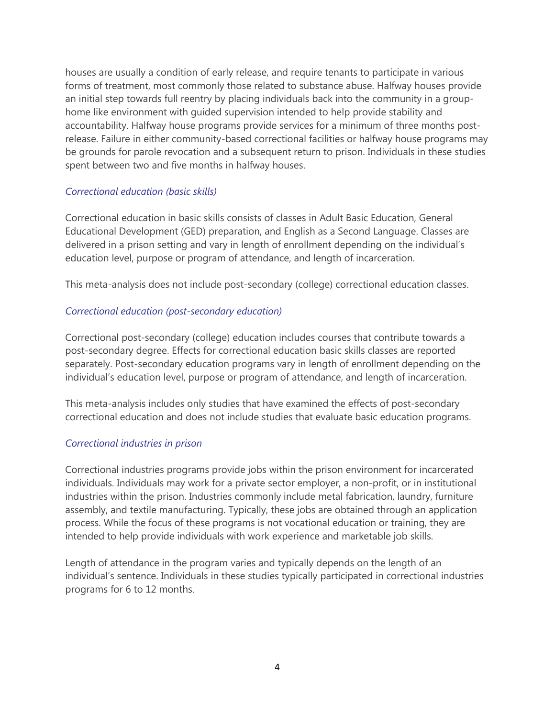houses are usually a condition of early release, and require tenants to participate in various forms of treatment, most commonly those related to substance abuse. Halfway houses provide an initial step towards full reentry by placing individuals back into the community in a grouphome like environment with guided supervision intended to help provide stability and accountability. Halfway house programs provide services for a minimum of three months postrelease. Failure in either community-based correctional facilities or halfway house programs may be grounds for parole revocation and a subsequent return to prison. Individuals in these studies spent between two and five months in halfway houses.

# *Correctional education (basic skills)*

Correctional education in basic skills consists of classes in Adult Basic Education, General Educational Development (GED) preparation, and English as a Second Language. Classes are delivered in a prison setting and vary in length of enrollment depending on the individual's education level, purpose or program of attendance, and length of incarceration.

This meta-analysis does not include post-secondary (college) correctional education classes.

# *Correctional education (post-secondary education)*

Correctional post-secondary (college) education includes courses that contribute towards a post-secondary degree. Effects for correctional education basic skills classes are reported separately. Post-secondary education programs vary in length of enrollment depending on the individual's education level, purpose or program of attendance, and length of incarceration.

This meta-analysis includes only studies that have examined the effects of post-secondary correctional education and does not include studies that evaluate basic education programs.

# *Correctional industries in prison*

Correctional industries programs provide jobs within the prison environment for incarcerated individuals. Individuals may work for a private sector employer, a non-profit, or in institutional industries within the prison. Industries commonly include metal fabrication, laundry, furniture assembly, and textile manufacturing. Typically, these jobs are obtained through an application process. While the focus of these programs is not vocational education or training, they are intended to help provide individuals with work experience and marketable job skills.

Length of attendance in the program varies and typically depends on the length of an individual's sentence. Individuals in these studies typically participated in correctional industries programs for 6 to 12 months.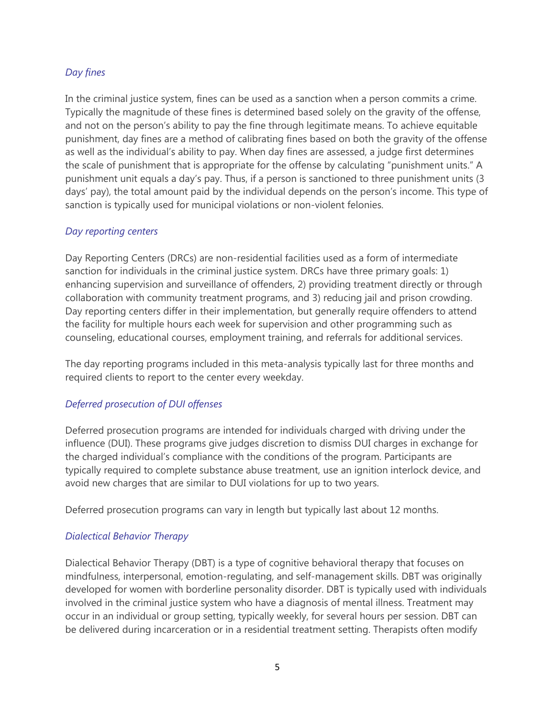# *Day fines*

In the criminal justice system, fines can be used as a sanction when a person commits a crime. Typically the magnitude of these fines is determined based solely on the gravity of the offense, and not on the person's ability to pay the fine through legitimate means. To achieve equitable punishment, day fines are a method of calibrating fines based on both the gravity of the offense as well as the individual's ability to pay. When day fines are assessed, a judge first determines the scale of punishment that is appropriate for the offense by calculating "punishment units." A punishment unit equals a day's pay. Thus, if a person is sanctioned to three punishment units (3 days' pay), the total amount paid by the individual depends on the person's income. This type of sanction is typically used for municipal violations or non-violent felonies.

# *Day reporting centers*

Day Reporting Centers (DRCs) are non-residential facilities used as a form of intermediate sanction for individuals in the criminal justice system. DRCs have three primary goals: 1) enhancing supervision and surveillance of offenders, 2) providing treatment directly or through collaboration with community treatment programs, and 3) reducing jail and prison crowding. Day reporting centers differ in their implementation, but generally require offenders to attend the facility for multiple hours each week for supervision and other programming such as counseling, educational courses, employment training, and referrals for additional services.

The day reporting programs included in this meta-analysis typically last for three months and required clients to report to the center every weekday.

# *Deferred prosecution of DUI offenses*

Deferred prosecution programs are intended for individuals charged with driving under the influence (DUI). These programs give judges discretion to dismiss DUI charges in exchange for the charged individual's compliance with the conditions of the program. Participants are typically required to complete substance abuse treatment, use an ignition interlock device, and avoid new charges that are similar to DUI violations for up to two years.

Deferred prosecution programs can vary in length but typically last about 12 months.

# *Dialectical Behavior Therapy*

Dialectical Behavior Therapy (DBT) is a type of cognitive behavioral therapy that focuses on mindfulness, interpersonal, emotion-regulating, and self-management skills. DBT was originally developed for women with borderline personality disorder. DBT is typically used with individuals involved in the criminal justice system who have a diagnosis of mental illness. Treatment may occur in an individual or group setting, typically weekly, for several hours per session. DBT can be delivered during incarceration or in a residential treatment setting. Therapists often modify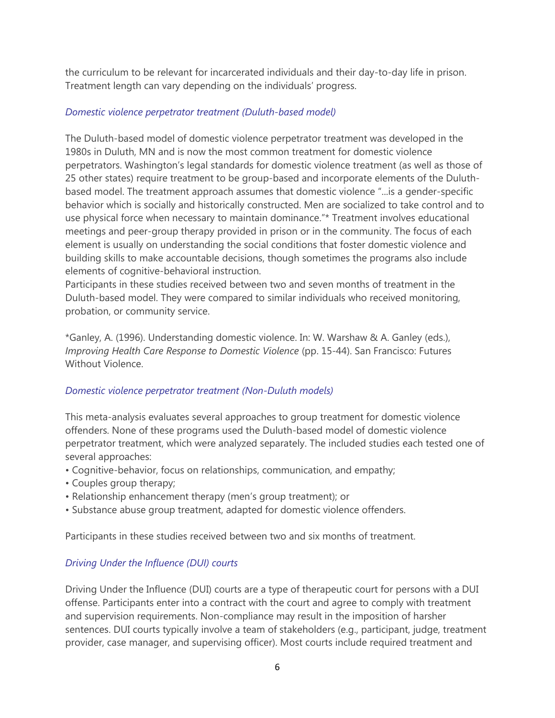the curriculum to be relevant for incarcerated individuals and their day-to-day life in prison. Treatment length can vary depending on the individuals' progress.

### *Domestic violence perpetrator treatment (Duluth-based model)*

The Duluth-based model of domestic violence perpetrator treatment was developed in the 1980s in Duluth, MN and is now the most common treatment for domestic violence perpetrators. Washington's legal standards for domestic violence treatment (as well as those of 25 other states) require treatment to be group-based and incorporate elements of the Duluthbased model. The treatment approach assumes that domestic violence "...is a gender-specific behavior which is socially and historically constructed. Men are socialized to take control and to use physical force when necessary to maintain dominance."\* Treatment involves educational meetings and peer-group therapy provided in prison or in the community. The focus of each element is usually on understanding the social conditions that foster domestic violence and building skills to make accountable decisions, though sometimes the programs also include elements of cognitive-behavioral instruction.

Participants in these studies received between two and seven months of treatment in the Duluth-based model. They were compared to similar individuals who received monitoring, probation, or community service.

\*Ganley, A. (1996). Understanding domestic violence. In: W. Warshaw & A. Ganley (eds.), *Improving Health Care Response to Domestic Violence* (pp. 15-44). San Francisco: Futures Without Violence.

# *Domestic violence perpetrator treatment (Non-Duluth models)*

This meta-analysis evaluates several approaches to group treatment for domestic violence offenders. None of these programs used the Duluth-based model of domestic violence perpetrator treatment, which were analyzed separately. The included studies each tested one of several approaches:

- Cognitive-behavior, focus on relationships, communication, and empathy;
- Couples group therapy;
- Relationship enhancement therapy (men's group treatment); or
- Substance abuse group treatment, adapted for domestic violence offenders.

Participants in these studies received between two and six months of treatment.

# *Driving Under the Influence (DUI) courts*

Driving Under the Influence (DUI) courts are a type of therapeutic court for persons with a DUI offense. Participants enter into a contract with the court and agree to comply with treatment and supervision requirements. Non-compliance may result in the imposition of harsher sentences. DUI courts typically involve a team of stakeholders (e.g., participant, judge, treatment provider, case manager, and supervising officer). Most courts include required treatment and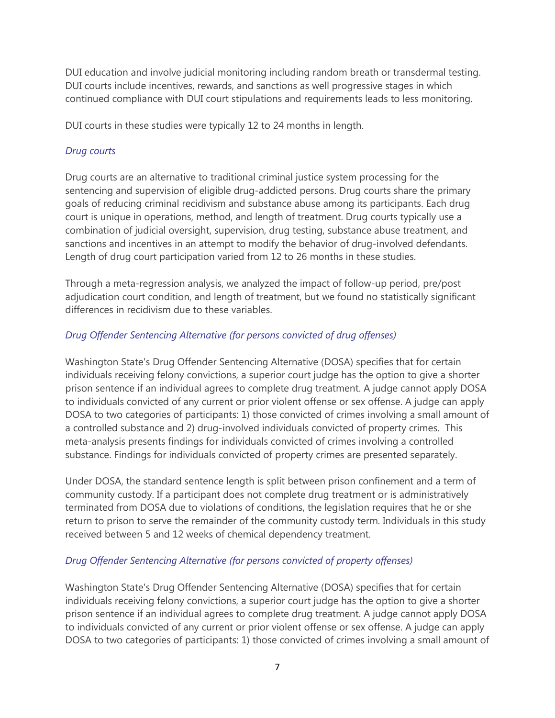DUI education and involve judicial monitoring including random breath or transdermal testing. DUI courts include incentives, rewards, and sanctions as well progressive stages in which continued compliance with DUI court stipulations and requirements leads to less monitoring.

DUI courts in these studies were typically 12 to 24 months in length.

# *Drug courts*

Drug courts are an alternative to traditional criminal justice system processing for the sentencing and supervision of eligible drug-addicted persons. Drug courts share the primary goals of reducing criminal recidivism and substance abuse among its participants. Each drug court is unique in operations, method, and length of treatment. Drug courts typically use a combination of judicial oversight, supervision, drug testing, substance abuse treatment, and sanctions and incentives in an attempt to modify the behavior of drug-involved defendants. Length of drug court participation varied from 12 to 26 months in these studies.

Through a meta-regression analysis, we analyzed the impact of follow-up period, pre/post adjudication court condition, and length of treatment, but we found no statistically significant differences in recidivism due to these variables.

# *Drug Offender Sentencing Alternative (for persons convicted of drug offenses)*

Washington State's Drug Offender Sentencing Alternative (DOSA) specifies that for certain individuals receiving felony convictions, a superior court judge has the option to give a shorter prison sentence if an individual agrees to complete drug treatment. A judge cannot apply DOSA to individuals convicted of any current or prior violent offense or sex offense. A judge can apply DOSA to two categories of participants: 1) those convicted of crimes involving a small amount of a controlled substance and 2) drug-involved individuals convicted of property crimes. This meta-analysis presents findings for individuals convicted of crimes involving a controlled substance. Findings for individuals convicted of property crimes are presented separately.

Under DOSA, the standard sentence length is split between prison confinement and a term of community custody. If a participant does not complete drug treatment or is administratively terminated from DOSA due to violations of conditions, the legislation requires that he or she return to prison to serve the remainder of the community custody term. Individuals in this study received between 5 and 12 weeks of chemical dependency treatment.

# *Drug Offender Sentencing Alternative (for persons convicted of property offenses)*

Washington State's Drug Offender Sentencing Alternative (DOSA) specifies that for certain individuals receiving felony convictions, a superior court judge has the option to give a shorter prison sentence if an individual agrees to complete drug treatment. A judge cannot apply DOSA to individuals convicted of any current or prior violent offense or sex offense. A judge can apply DOSA to two categories of participants: 1) those convicted of crimes involving a small amount of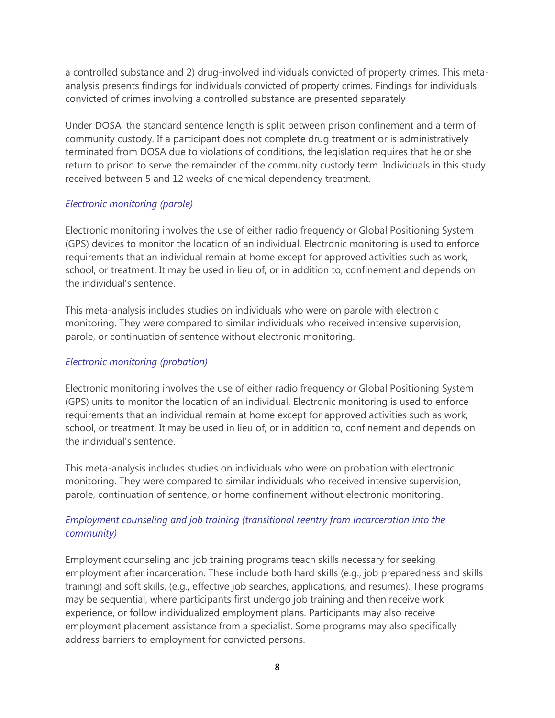a controlled substance and 2) drug-involved individuals convicted of property crimes. This metaanalysis presents findings for individuals convicted of property crimes. Findings for individuals convicted of crimes involving a controlled substance are presented separately

Under DOSA, the standard sentence length is split between prison confinement and a term of community custody. If a participant does not complete drug treatment or is administratively terminated from DOSA due to violations of conditions, the legislation requires that he or she return to prison to serve the remainder of the community custody term. Individuals in this study received between 5 and 12 weeks of chemical dependency treatment.

# *Electronic monitoring (parole)*

Electronic monitoring involves the use of either radio frequency or Global Positioning System (GPS) devices to monitor the location of an individual. Electronic monitoring is used to enforce requirements that an individual remain at home except for approved activities such as work, school, or treatment. It may be used in lieu of, or in addition to, confinement and depends on the individual's sentence.

This meta-analysis includes studies on individuals who were on parole with electronic monitoring. They were compared to similar individuals who received intensive supervision, parole, or continuation of sentence without electronic monitoring.

# *Electronic monitoring (probation)*

Electronic monitoring involves the use of either radio frequency or Global Positioning System (GPS) units to monitor the location of an individual. Electronic monitoring is used to enforce requirements that an individual remain at home except for approved activities such as work, school, or treatment. It may be used in lieu of, or in addition to, confinement and depends on the individual's sentence.

This meta-analysis includes studies on individuals who were on probation with electronic monitoring. They were compared to similar individuals who received intensive supervision, parole, continuation of sentence, or home confinement without electronic monitoring.

# *Employment counseling and job training (transitional reentry from incarceration into the community)*

Employment counseling and job training programs teach skills necessary for seeking employment after incarceration. These include both hard skills (e.g., job preparedness and skills training) and soft skills, (e.g., effective job searches, applications, and resumes). These programs may be sequential, where participants first undergo job training and then receive work experience, or follow individualized employment plans. Participants may also receive employment placement assistance from a specialist. Some programs may also specifically address barriers to employment for convicted persons.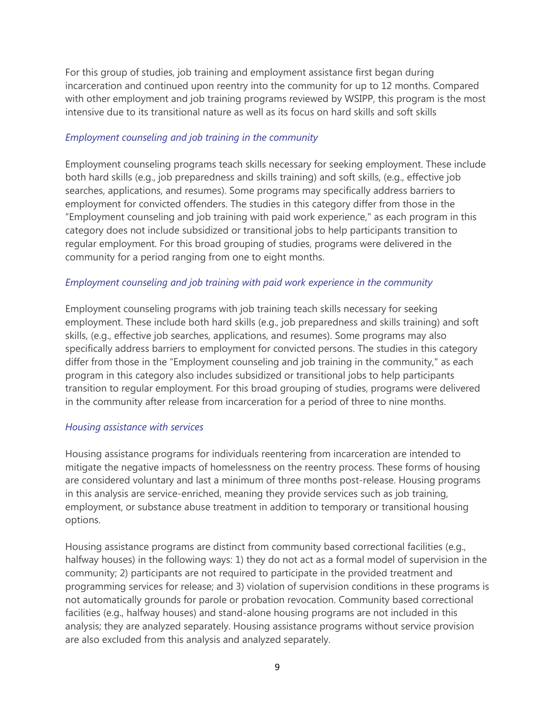For this group of studies, job training and employment assistance first began during incarceration and continued upon reentry into the community for up to 12 months. Compared with other employment and job training programs reviewed by WSIPP, this program is the most intensive due to its transitional nature as well as its focus on hard skills and soft skills

### *Employment counseling and job training in the community*

Employment counseling programs teach skills necessary for seeking employment. These include both hard skills (e.g., job preparedness and skills training) and soft skills, (e.g., effective job searches, applications, and resumes). Some programs may specifically address barriers to employment for convicted offenders. The studies in this category differ from those in the "Employment counseling and job training with paid work experience," as each program in this category does not include subsidized or transitional jobs to help participants transition to regular employment. For this broad grouping of studies, programs were delivered in the community for a period ranging from one to eight months.

#### *Employment counseling and job training with paid work experience in the community*

Employment counseling programs with job training teach skills necessary for seeking employment. These include both hard skills (e.g., job preparedness and skills training) and soft skills, (e.g., effective job searches, applications, and resumes). Some programs may also specifically address barriers to employment for convicted persons. The studies in this category differ from those in the "Employment counseling and job training in the community," as each program in this category also includes subsidized or transitional jobs to help participants transition to regular employment. For this broad grouping of studies, programs were delivered in the community after release from incarceration for a period of three to nine months.

#### *Housing assistance with services*

Housing assistance programs for individuals reentering from incarceration are intended to mitigate the negative impacts of homelessness on the reentry process. These forms of housing are considered voluntary and last a minimum of three months post-release. Housing programs in this analysis are service-enriched, meaning they provide services such as job training, employment, or substance abuse treatment in addition to temporary or transitional housing options.

Housing assistance programs are distinct from community based correctional facilities (e.g., halfway houses) in the following ways: 1) they do not act as a formal model of supervision in the community; 2) participants are not required to participate in the provided treatment and programming services for release; and 3) violation of supervision conditions in these programs is not automatically grounds for parole or probation revocation. Community based correctional facilities (e.g., halfway houses) and stand-alone housing programs are not included in this analysis; they are analyzed separately. Housing assistance programs without service provision are also excluded from this analysis and analyzed separately.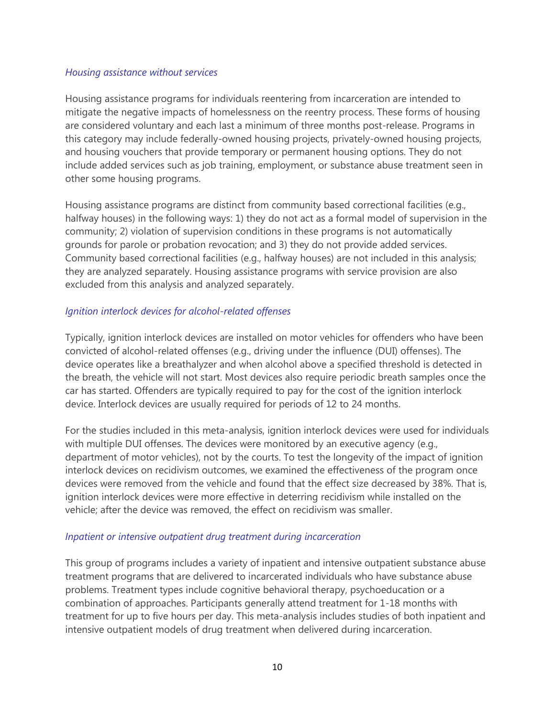#### *Housing assistance without services*

Housing assistance programs for individuals reentering from incarceration are intended to mitigate the negative impacts of homelessness on the reentry process. These forms of housing are considered voluntary and each last a minimum of three months post-release. Programs in this category may include federally-owned housing projects, privately-owned housing projects, and housing vouchers that provide temporary or permanent housing options. They do not include added services such as job training, employment, or substance abuse treatment seen in other some housing programs.

Housing assistance programs are distinct from community based correctional facilities (e.g., halfway houses) in the following ways: 1) they do not act as a formal model of supervision in the community; 2) violation of supervision conditions in these programs is not automatically grounds for parole or probation revocation; and 3) they do not provide added services. Community based correctional facilities (e.g., halfway houses) are not included in this analysis; they are analyzed separately. Housing assistance programs with service provision are also excluded from this analysis and analyzed separately.

### *Ignition interlock devices for alcohol-related offenses*

Typically, ignition interlock devices are installed on motor vehicles for offenders who have been convicted of alcohol-related offenses (e.g., driving under the influence (DUI) offenses). The device operates like a breathalyzer and when alcohol above a specified threshold is detected in the breath, the vehicle will not start. Most devices also require periodic breath samples once the car has started. Offenders are typically required to pay for the cost of the ignition interlock device. Interlock devices are usually required for periods of 12 to 24 months.

For the studies included in this meta-analysis, ignition interlock devices were used for individuals with multiple DUI offenses. The devices were monitored by an executive agency (e.g., department of motor vehicles), not by the courts. To test the longevity of the impact of ignition interlock devices on recidivism outcomes, we examined the effectiveness of the program once devices were removed from the vehicle and found that the effect size decreased by 38%. That is, ignition interlock devices were more effective in deterring recidivism while installed on the vehicle; after the device was removed, the effect on recidivism was smaller.

#### *Inpatient or intensive outpatient drug treatment during incarceration*

This group of programs includes a variety of inpatient and intensive outpatient substance abuse treatment programs that are delivered to incarcerated individuals who have substance abuse problems. Treatment types include cognitive behavioral therapy, psychoeducation or a combination of approaches. Participants generally attend treatment for 1-18 months with treatment for up to five hours per day. This meta-analysis includes studies of both inpatient and intensive outpatient models of drug treatment when delivered during incarceration.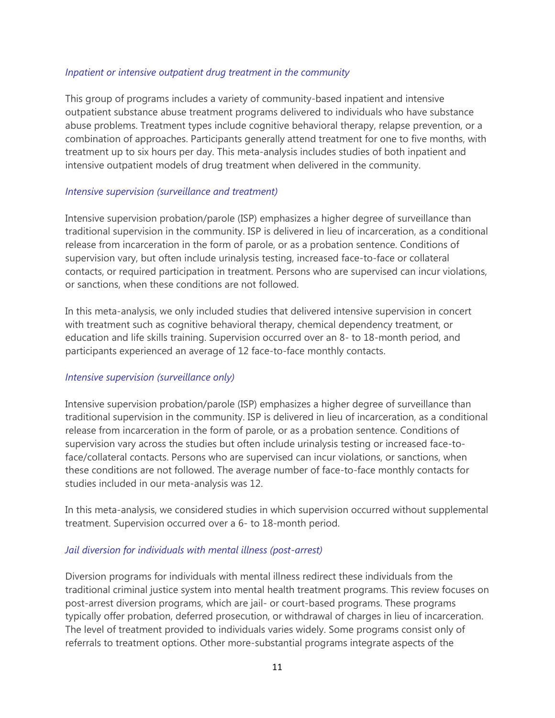### *Inpatient or intensive outpatient drug treatment in the community*

This group of programs includes a variety of community-based inpatient and intensive outpatient substance abuse treatment programs delivered to individuals who have substance abuse problems. Treatment types include cognitive behavioral therapy, relapse prevention, or a combination of approaches. Participants generally attend treatment for one to five months, with treatment up to six hours per day. This meta-analysis includes studies of both inpatient and intensive outpatient models of drug treatment when delivered in the community.

### *Intensive supervision (surveillance and treatment)*

Intensive supervision probation/parole (ISP) emphasizes a higher degree of surveillance than traditional supervision in the community. ISP is delivered in lieu of incarceration, as a conditional release from incarceration in the form of parole, or as a probation sentence. Conditions of supervision vary, but often include urinalysis testing, increased face-to-face or collateral contacts, or required participation in treatment. Persons who are supervised can incur violations, or sanctions, when these conditions are not followed.

In this meta-analysis, we only included studies that delivered intensive supervision in concert with treatment such as cognitive behavioral therapy, chemical dependency treatment, or education and life skills training. Supervision occurred over an 8- to 18-month period, and participants experienced an average of 12 face-to-face monthly contacts.

### *Intensive supervision (surveillance only)*

Intensive supervision probation/parole (ISP) emphasizes a higher degree of surveillance than traditional supervision in the community. ISP is delivered in lieu of incarceration, as a conditional release from incarceration in the form of parole, or as a probation sentence. Conditions of supervision vary across the studies but often include urinalysis testing or increased face-toface/collateral contacts. Persons who are supervised can incur violations, or sanctions, when these conditions are not followed. The average number of face-to-face monthly contacts for studies included in our meta-analysis was 12.

In this meta-analysis, we considered studies in which supervision occurred without supplemental treatment. Supervision occurred over a 6- to 18-month period.

### *Jail diversion for individuals with mental illness (post-arrest)*

Diversion programs for individuals with mental illness redirect these individuals from the traditional criminal justice system into mental health treatment programs. This review focuses on post-arrest diversion programs, which are jail- or court-based programs. These programs typically offer probation, deferred prosecution, or withdrawal of charges in lieu of incarceration. The level of treatment provided to individuals varies widely. Some programs consist only of referrals to treatment options. Other more-substantial programs integrate aspects of the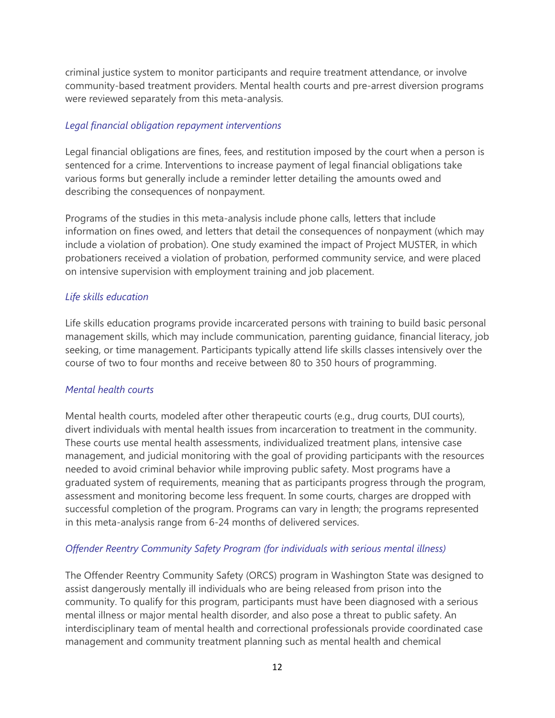criminal justice system to monitor participants and require treatment attendance, or involve community-based treatment providers. Mental health courts and pre-arrest diversion programs were reviewed separately from this meta-analysis.

### *Legal financial obligation repayment interventions*

Legal financial obligations are fines, fees, and restitution imposed by the court when a person is sentenced for a crime. Interventions to increase payment of legal financial obligations take various forms but generally include a reminder letter detailing the amounts owed and describing the consequences of nonpayment.

Programs of the studies in this meta-analysis include phone calls, letters that include information on fines owed, and letters that detail the consequences of nonpayment (which may include a violation of probation). One study examined the impact of Project MUSTER, in which probationers received a violation of probation, performed community service, and were placed on intensive supervision with employment training and job placement.

# *Life skills education*

Life skills education programs provide incarcerated persons with training to build basic personal management skills, which may include communication, parenting guidance, financial literacy, job seeking, or time management. Participants typically attend life skills classes intensively over the course of two to four months and receive between 80 to 350 hours of programming.

### *Mental health courts*

Mental health courts, modeled after other therapeutic courts (e.g., drug courts, DUI courts), divert individuals with mental health issues from incarceration to treatment in the community. These courts use mental health assessments, individualized treatment plans, intensive case management, and judicial monitoring with the goal of providing participants with the resources needed to avoid criminal behavior while improving public safety. Most programs have a graduated system of requirements, meaning that as participants progress through the program, assessment and monitoring become less frequent. In some courts, charges are dropped with successful completion of the program. Programs can vary in length; the programs represented in this meta-analysis range from 6-24 months of delivered services.

# *Offender Reentry Community Safety Program (for individuals with serious mental illness)*

The Offender Reentry Community Safety (ORCS) program in Washington State was designed to assist dangerously mentally ill individuals who are being released from prison into the community. To qualify for this program, participants must have been diagnosed with a serious mental illness or major mental health disorder, and also pose a threat to public safety. An interdisciplinary team of mental health and correctional professionals provide coordinated case management and community treatment planning such as mental health and chemical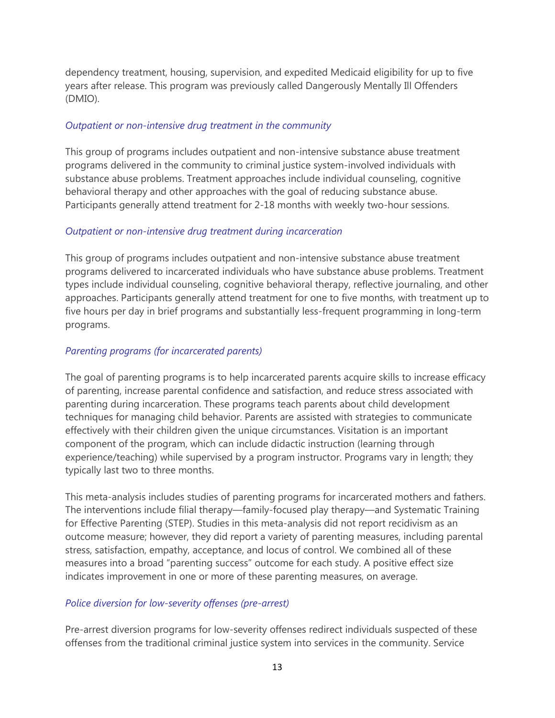dependency treatment, housing, supervision, and expedited Medicaid eligibility for up to five years after release. This program was previously called Dangerously Mentally Ill Offenders (DMIO).

#### *Outpatient or non-intensive drug treatment in the community*

This group of programs includes outpatient and non-intensive substance abuse treatment programs delivered in the community to criminal justice system-involved individuals with substance abuse problems. Treatment approaches include individual counseling, cognitive behavioral therapy and other approaches with the goal of reducing substance abuse. Participants generally attend treatment for 2-18 months with weekly two-hour sessions.

### *Outpatient or non-intensive drug treatment during incarceration*

This group of programs includes outpatient and non-intensive substance abuse treatment programs delivered to incarcerated individuals who have substance abuse problems. Treatment types include individual counseling, cognitive behavioral therapy, reflective journaling, and other approaches. Participants generally attend treatment for one to five months, with treatment up to five hours per day in brief programs and substantially less-frequent programming in long-term programs.

### *Parenting programs (for incarcerated parents)*

The goal of parenting programs is to help incarcerated parents acquire skills to increase efficacy of parenting, increase parental confidence and satisfaction, and reduce stress associated with parenting during incarceration. These programs teach parents about child development techniques for managing child behavior. Parents are assisted with strategies to communicate effectively with their children given the unique circumstances. Visitation is an important component of the program, which can include didactic instruction (learning through experience/teaching) while supervised by a program instructor. Programs vary in length; they typically last two to three months.

This meta-analysis includes studies of parenting programs for incarcerated mothers and fathers. The interventions include filial therapy—family-focused play therapy—and Systematic Training for Effective Parenting (STEP). Studies in this meta-analysis did not report recidivism as an outcome measure; however, they did report a variety of parenting measures, including parental stress, satisfaction, empathy, acceptance, and locus of control. We combined all of these measures into a broad "parenting success" outcome for each study. A positive effect size indicates improvement in one or more of these parenting measures, on average.

### *Police diversion for low-severity offenses (pre-arrest)*

Pre-arrest diversion programs for low-severity offenses redirect individuals suspected of these offenses from the traditional criminal justice system into services in the community. Service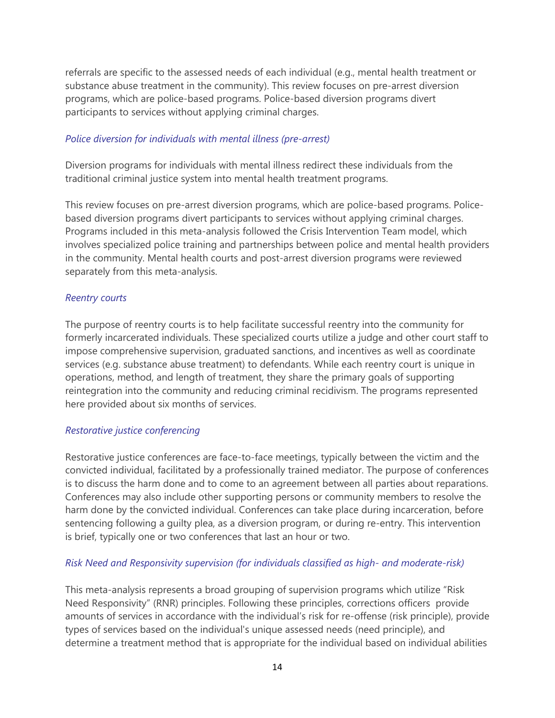referrals are specific to the assessed needs of each individual (e.g., mental health treatment or substance abuse treatment in the community). This review focuses on pre-arrest diversion programs, which are police-based programs. Police-based diversion programs divert participants to services without applying criminal charges.

#### *Police diversion for individuals with mental illness (pre-arrest)*

Diversion programs for individuals with mental illness redirect these individuals from the traditional criminal justice system into mental health treatment programs.

This review focuses on pre-arrest diversion programs, which are police-based programs. Policebased diversion programs divert participants to services without applying criminal charges. Programs included in this meta-analysis followed the Crisis Intervention Team model, which involves specialized police training and partnerships between police and mental health providers in the community. Mental health courts and post-arrest diversion programs were reviewed separately from this meta-analysis.

#### *Reentry courts*

The purpose of reentry courts is to help facilitate successful reentry into the community for formerly incarcerated individuals. These specialized courts utilize a judge and other court staff to impose comprehensive supervision, graduated sanctions, and incentives as well as coordinate services (e.g. substance abuse treatment) to defendants. While each reentry court is unique in operations, method, and length of treatment, they share the primary goals of supporting reintegration into the community and reducing criminal recidivism. The programs represented here provided about six months of services.

#### *Restorative justice conferencing*

Restorative justice conferences are face-to-face meetings, typically between the victim and the convicted individual, facilitated by a professionally trained mediator. The purpose of conferences is to discuss the harm done and to come to an agreement between all parties about reparations. Conferences may also include other supporting persons or community members to resolve the harm done by the convicted individual. Conferences can take place during incarceration, before sentencing following a guilty plea, as a diversion program, or during re-entry. This intervention is brief, typically one or two conferences that last an hour or two.

### *Risk Need and Responsivity supervision (for individuals classified as high- and moderate-risk)*

This meta-analysis represents a broad grouping of supervision programs which utilize "Risk Need Responsivity" (RNR) principles. Following these principles, corrections officers provide amounts of services in accordance with the individual's risk for re-offense (risk principle), provide types of services based on the individual's unique assessed needs (need principle), and determine a treatment method that is appropriate for the individual based on individual abilities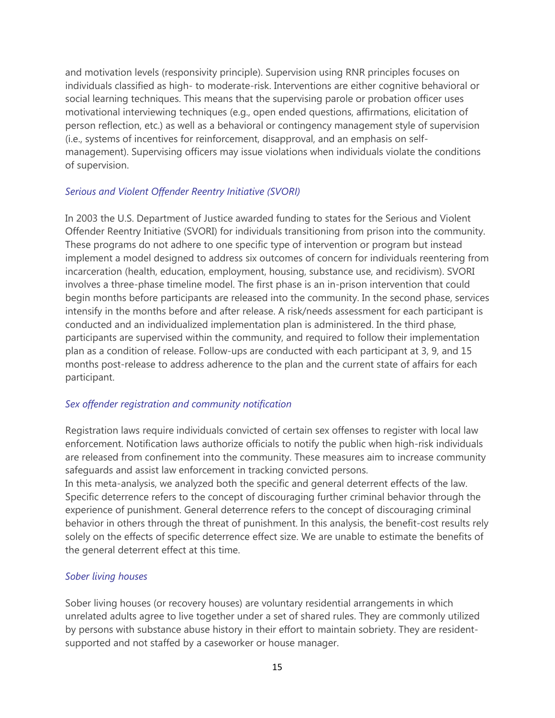and motivation levels (responsivity principle). Supervision using RNR principles focuses on individuals classified as high- to moderate-risk. Interventions are either cognitive behavioral or social learning techniques. This means that the supervising parole or probation officer uses motivational interviewing techniques (e.g., open ended questions, affirmations, elicitation of person reflection, etc.) as well as a behavioral or contingency management style of supervision (i.e., systems of incentives for reinforcement, disapproval, and an emphasis on selfmanagement). Supervising officers may issue violations when individuals violate the conditions of supervision.

### *Serious and Violent Offender Reentry Initiative (SVORI)*

In 2003 the U.S. Department of Justice awarded funding to states for the Serious and Violent Offender Reentry Initiative (SVORI) for individuals transitioning from prison into the community. These programs do not adhere to one specific type of intervention or program but instead implement a model designed to address six outcomes of concern for individuals reentering from incarceration (health, education, employment, housing, substance use, and recidivism). SVORI involves a three-phase timeline model. The first phase is an in-prison intervention that could begin months before participants are released into the community. In the second phase, services intensify in the months before and after release. A risk/needs assessment for each participant is conducted and an individualized implementation plan is administered. In the third phase, participants are supervised within the community, and required to follow their implementation plan as a condition of release. Follow-ups are conducted with each participant at 3, 9, and 15 months post-release to address adherence to the plan and the current state of affairs for each participant.

### *Sex offender registration and community notification*

Registration laws require individuals convicted of certain sex offenses to register with local law enforcement. Notification laws authorize officials to notify the public when high-risk individuals are released from confinement into the community. These measures aim to increase community safeguards and assist law enforcement in tracking convicted persons.

In this meta-analysis, we analyzed both the specific and general deterrent effects of the law. Specific deterrence refers to the concept of discouraging further criminal behavior through the experience of punishment. General deterrence refers to the concept of discouraging criminal behavior in others through the threat of punishment. In this analysis, the benefit-cost results rely solely on the effects of specific deterrence effect size. We are unable to estimate the benefits of the general deterrent effect at this time.

### *Sober living houses*

Sober living houses (or recovery houses) are voluntary residential arrangements in which unrelated adults agree to live together under a set of shared rules. They are commonly utilized by persons with substance abuse history in their effort to maintain sobriety. They are residentsupported and not staffed by a caseworker or house manager.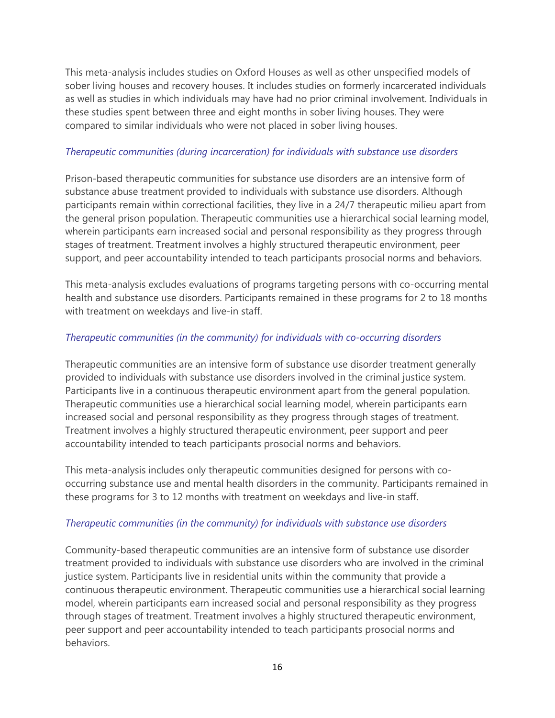This meta-analysis includes studies on Oxford Houses as well as other unspecified models of sober living houses and recovery houses. It includes studies on formerly incarcerated individuals as well as studies in which individuals may have had no prior criminal involvement. Individuals in these studies spent between three and eight months in sober living houses. They were compared to similar individuals who were not placed in sober living houses.

### *Therapeutic communities (during incarceration) for individuals with substance use disorders*

Prison-based therapeutic communities for substance use disorders are an intensive form of substance abuse treatment provided to individuals with substance use disorders. Although participants remain within correctional facilities, they live in a 24/7 therapeutic milieu apart from the general prison population. Therapeutic communities use a hierarchical social learning model, wherein participants earn increased social and personal responsibility as they progress through stages of treatment. Treatment involves a highly structured therapeutic environment, peer support, and peer accountability intended to teach participants prosocial norms and behaviors.

This meta-analysis excludes evaluations of programs targeting persons with co-occurring mental health and substance use disorders. Participants remained in these programs for 2 to 18 months with treatment on weekdays and live-in staff.

# *Therapeutic communities (in the community) for individuals with co-occurring disorders*

Therapeutic communities are an intensive form of substance use disorder treatment generally provided to individuals with substance use disorders involved in the criminal justice system. Participants live in a continuous therapeutic environment apart from the general population. Therapeutic communities use a hierarchical social learning model, wherein participants earn increased social and personal responsibility as they progress through stages of treatment. Treatment involves a highly structured therapeutic environment, peer support and peer accountability intended to teach participants prosocial norms and behaviors.

This meta-analysis includes only therapeutic communities designed for persons with cooccurring substance use and mental health disorders in the community. Participants remained in these programs for 3 to 12 months with treatment on weekdays and live-in staff.

### *Therapeutic communities (in the community) for individuals with substance use disorders*

Community-based therapeutic communities are an intensive form of substance use disorder treatment provided to individuals with substance use disorders who are involved in the criminal justice system. Participants live in residential units within the community that provide a continuous therapeutic environment. Therapeutic communities use a hierarchical social learning model, wherein participants earn increased social and personal responsibility as they progress through stages of treatment. Treatment involves a highly structured therapeutic environment, peer support and peer accountability intended to teach participants prosocial norms and behaviors.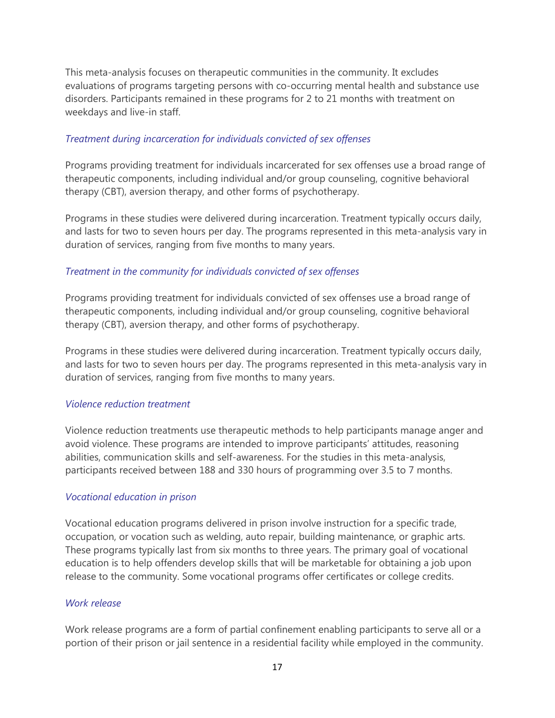This meta-analysis focuses on therapeutic communities in the community. It excludes evaluations of programs targeting persons with co-occurring mental health and substance use disorders. Participants remained in these programs for 2 to 21 months with treatment on weekdays and live-in staff.

#### *Treatment during incarceration for individuals convicted of sex offenses*

Programs providing treatment for individuals incarcerated for sex offenses use a broad range of therapeutic components, including individual and/or group counseling, cognitive behavioral therapy (CBT), aversion therapy, and other forms of psychotherapy.

Programs in these studies were delivered during incarceration. Treatment typically occurs daily, and lasts for two to seven hours per day. The programs represented in this meta-analysis vary in duration of services, ranging from five months to many years.

### *Treatment in the community for individuals convicted of sex offenses*

Programs providing treatment for individuals convicted of sex offenses use a broad range of therapeutic components, including individual and/or group counseling, cognitive behavioral therapy (CBT), aversion therapy, and other forms of psychotherapy.

Programs in these studies were delivered during incarceration. Treatment typically occurs daily, and lasts for two to seven hours per day. The programs represented in this meta-analysis vary in duration of services, ranging from five months to many years.

#### *Violence reduction treatment*

Violence reduction treatments use therapeutic methods to help participants manage anger and avoid violence. These programs are intended to improve participants' attitudes, reasoning abilities, communication skills and self-awareness. For the studies in this meta-analysis, participants received between 188 and 330 hours of programming over 3.5 to 7 months.

#### *Vocational education in prison*

Vocational education programs delivered in prison involve instruction for a specific trade, occupation, or vocation such as welding, auto repair, building maintenance, or graphic arts. These programs typically last from six months to three years. The primary goal of vocational education is to help offenders develop skills that will be marketable for obtaining a job upon release to the community. Some vocational programs offer certificates or college credits.

#### *Work release*

Work release programs are a form of partial confinement enabling participants to serve all or a portion of their prison or jail sentence in a residential facility while employed in the community.